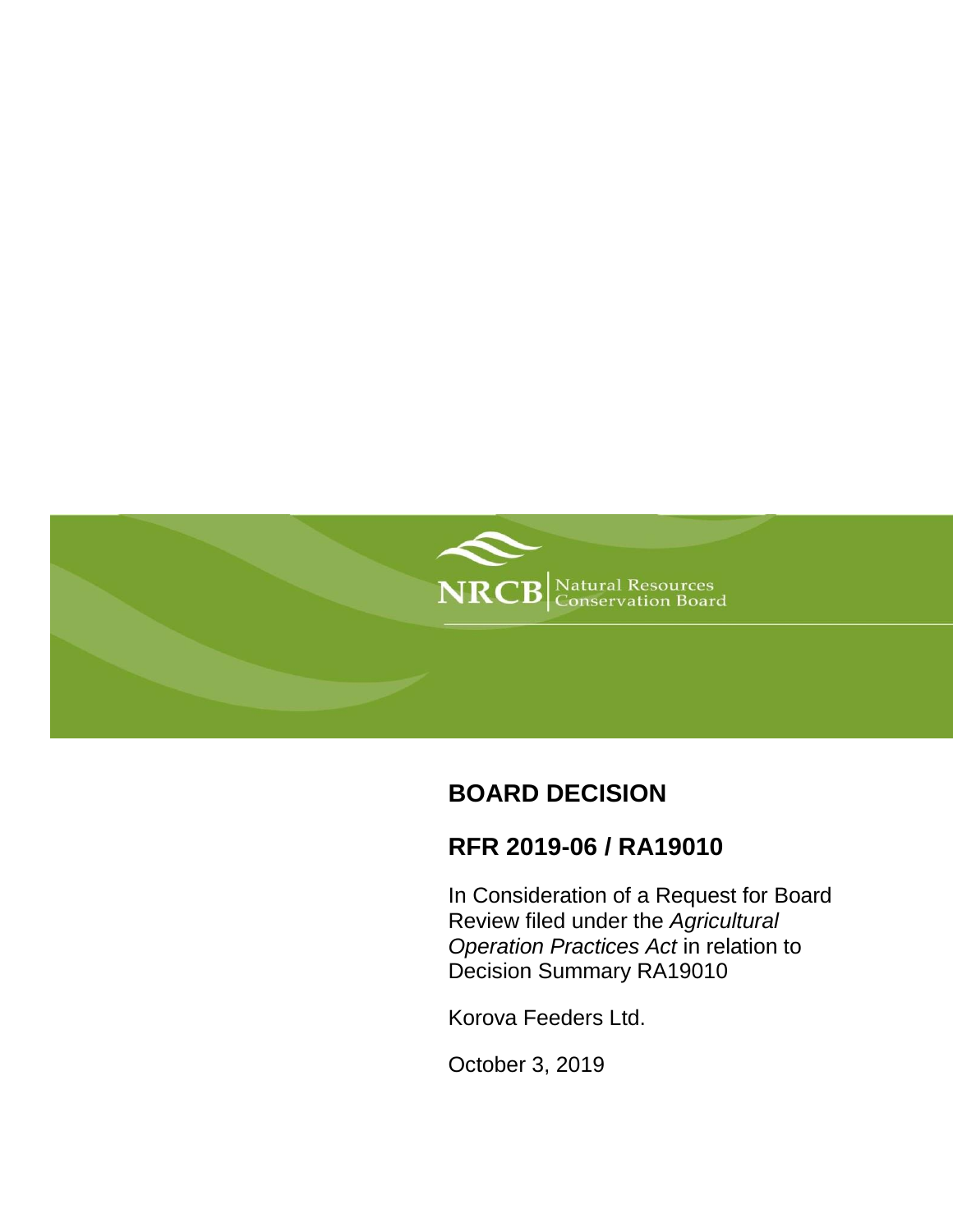

# **BOARD DECISION**

# **RFR 2019-06 / RA19010**

In Consideration of a Request for Board Review filed under the *Agricultural Operation Practices Act* in relation to Decision Summary RA19010

Korova Feeders Ltd.

October 3, 2019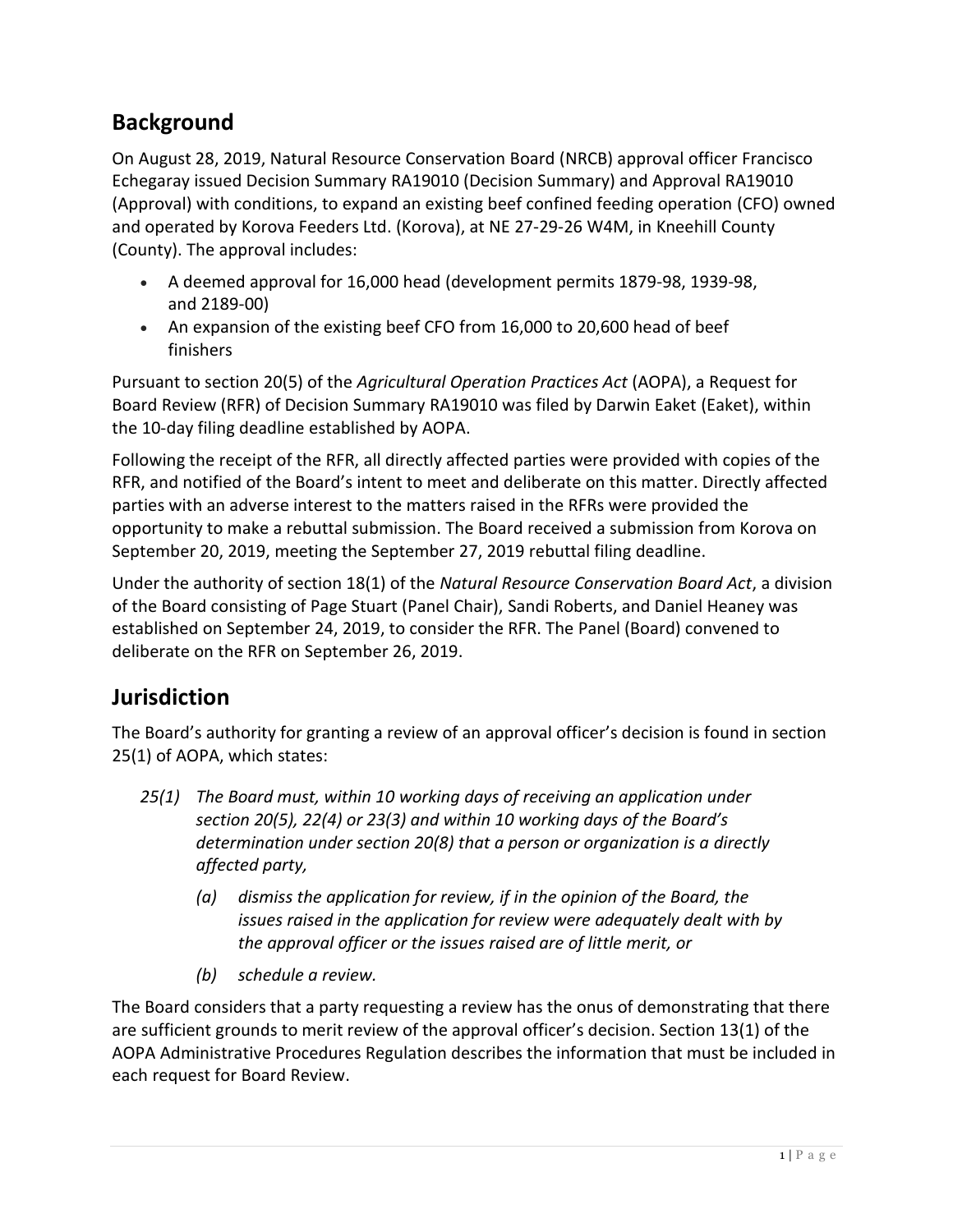# **Background**

On August 28, 2019, Natural Resource Conservation Board (NRCB) approval officer Francisco Echegaray issued Decision Summary RA19010 (Decision Summary) and Approval RA19010 (Approval) with conditions, to expand an existing beef confined feeding operation (CFO) owned and operated by Korova Feeders Ltd. (Korova), at NE 27-29-26 W4M, in Kneehill County (County). The approval includes:

- A deemed approval for 16,000 head (development permits 1879-98, 1939-98, and 2189-00)
- An expansion of the existing beef CFO from 16,000 to 20,600 head of beef finishers

Pursuant to section 20(5) of the *Agricultural Operation Practices Act* (AOPA), a Request for Board Review (RFR) of Decision Summary RA19010 was filed by Darwin Eaket (Eaket), within the 10-day filing deadline established by AOPA.

Following the receipt of the RFR, all directly affected parties were provided with copies of the RFR, and notified of the Board's intent to meet and deliberate on this matter. Directly affected parties with an adverse interest to the matters raised in the RFRs were provided the opportunity to make a rebuttal submission. The Board received a submission from Korova on September 20, 2019, meeting the September 27, 2019 rebuttal filing deadline.

Under the authority of section 18(1) of the *Natural Resource Conservation Board Act*, a division of the Board consisting of Page Stuart (Panel Chair), Sandi Roberts, and Daniel Heaney was established on September 24, 2019, to consider the RFR. The Panel (Board) convened to deliberate on the RFR on September 26, 2019.

## **Jurisdiction**

The Board's authority for granting a review of an approval officer's decision is found in section 25(1) of AOPA, which states:

- *25(1) The Board must, within 10 working days of receiving an application under section 20(5), 22(4) or 23(3) and within 10 working days of the Board's determination under section 20(8) that a person or organization is a directly affected party,*
	- *(a) dismiss the application for review, if in the opinion of the Board, the issues raised in the application for review were adequately dealt with by the approval officer or the issues raised are of little merit, or*
	- *(b) schedule a review.*

The Board considers that a party requesting a review has the onus of demonstrating that there are sufficient grounds to merit review of the approval officer's decision. Section 13(1) of the AOPA Administrative Procedures Regulation describes the information that must be included in each request for Board Review.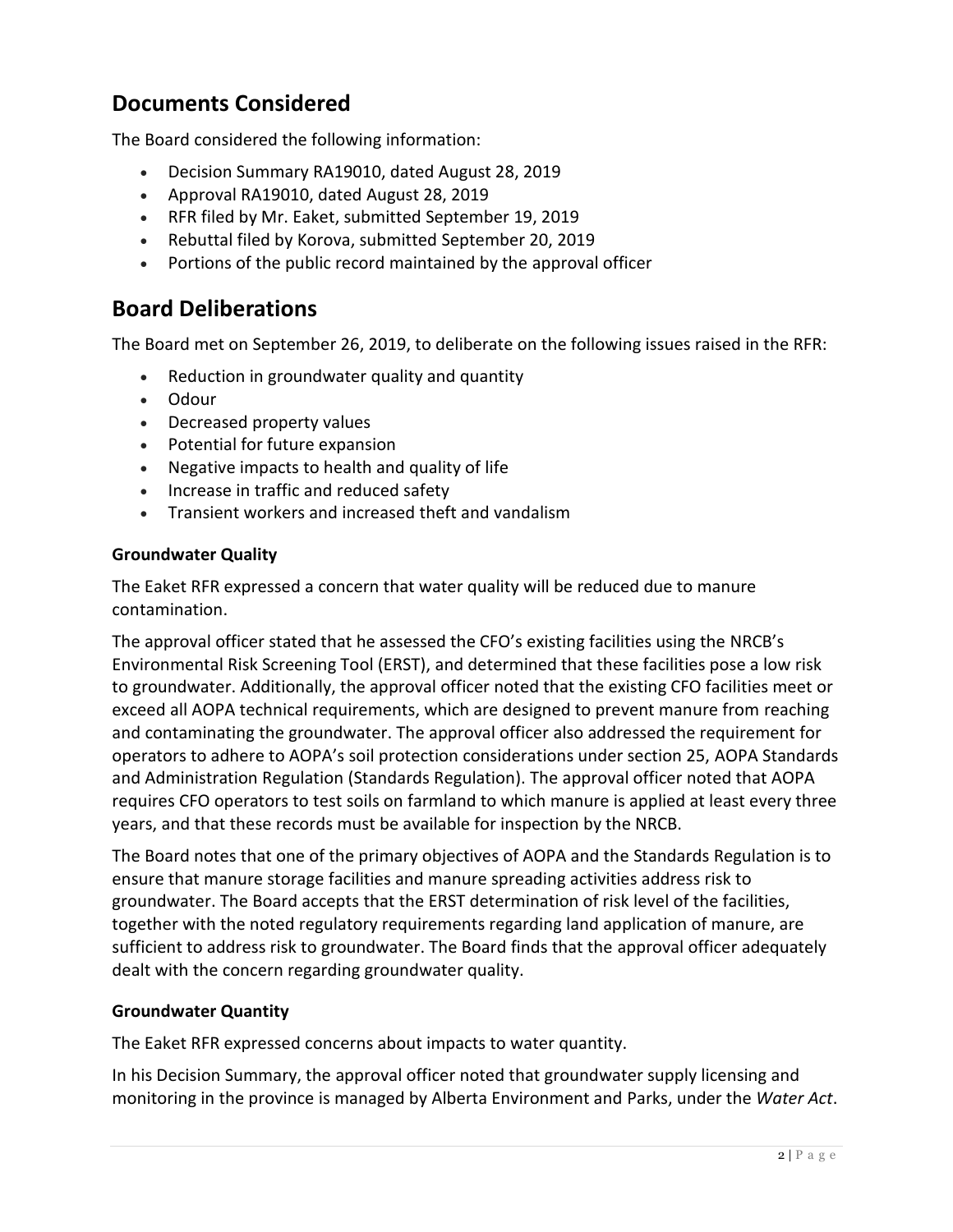## **Documents Considered**

The Board considered the following information:

- Decision Summary RA19010, dated August 28, 2019
- Approval RA19010, dated August 28, 2019
- RFR filed by Mr. Eaket, submitted September 19, 2019
- Rebuttal filed by Korova, submitted September 20, 2019
- Portions of the public record maintained by the approval officer

## **Board Deliberations**

The Board met on September 26, 2019, to deliberate on the following issues raised in the RFR:

- Reduction in groundwater quality and quantity
- Odour
- Decreased property values
- Potential for future expansion
- Negative impacts to health and quality of life
- Increase in traffic and reduced safety
- Transient workers and increased theft and vandalism

### **Groundwater Quality**

The Eaket RFR expressed a concern that water quality will be reduced due to manure contamination.

The approval officer stated that he assessed the CFO's existing facilities using the NRCB's Environmental Risk Screening Tool (ERST), and determined that these facilities pose a low risk to groundwater. Additionally, the approval officer noted that the existing CFO facilities meet or exceed all AOPA technical requirements, which are designed to prevent manure from reaching and contaminating the groundwater. The approval officer also addressed the requirement for operators to adhere to AOPA's soil protection considerations under section 25, AOPA Standards and Administration Regulation (Standards Regulation). The approval officer noted that AOPA requires CFO operators to test soils on farmland to which manure is applied at least every three years, and that these records must be available for inspection by the NRCB.

The Board notes that one of the primary objectives of AOPA and the Standards Regulation is to ensure that manure storage facilities and manure spreading activities address risk to groundwater. The Board accepts that the ERST determination of risk level of the facilities, together with the noted regulatory requirements regarding land application of manure, are sufficient to address risk to groundwater. The Board finds that the approval officer adequately dealt with the concern regarding groundwater quality.

### **Groundwater Quantity**

The Eaket RFR expressed concerns about impacts to water quantity.

In his Decision Summary, the approval officer noted that groundwater supply licensing and monitoring in the province is managed by Alberta Environment and Parks, under the *Water Act*.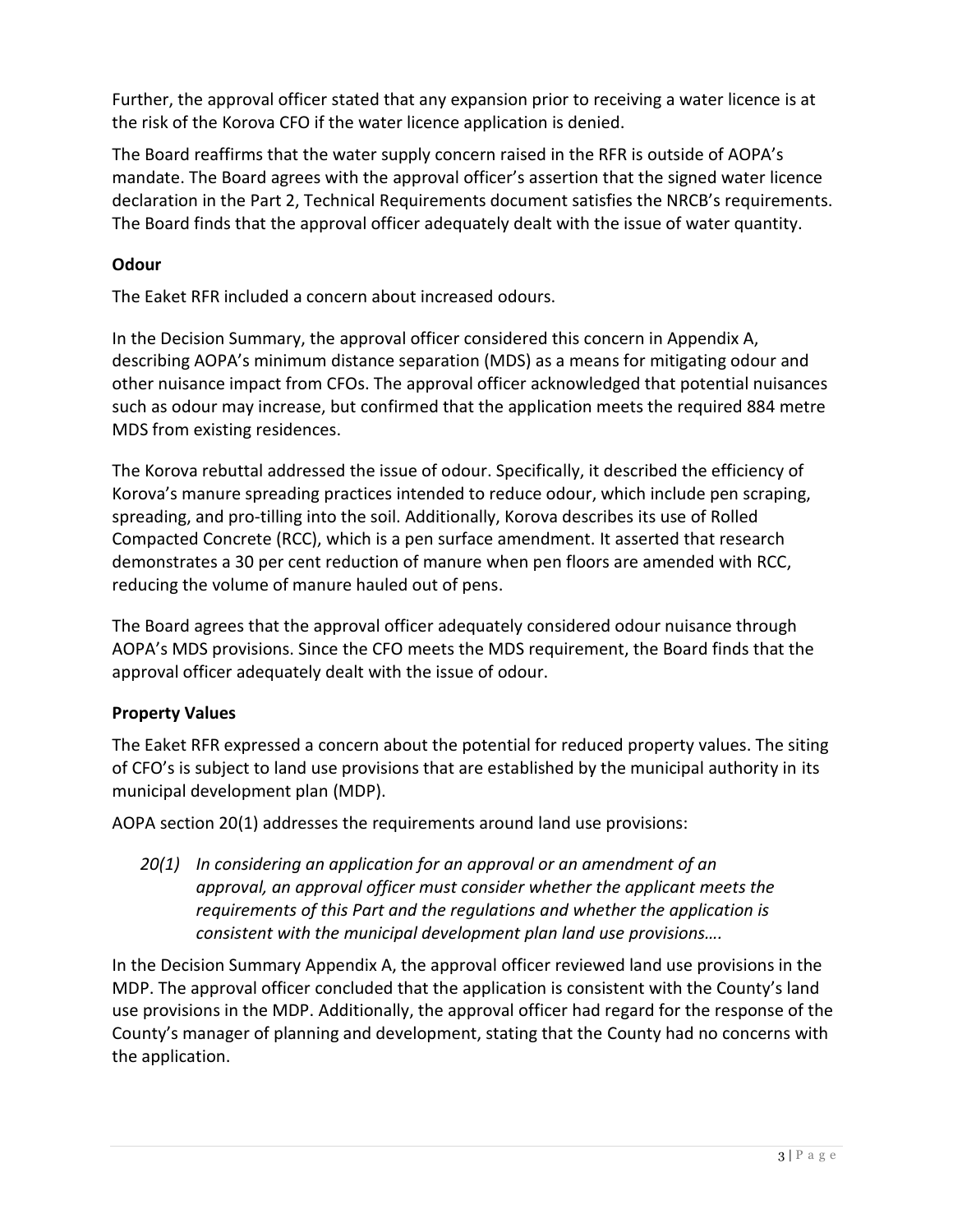Further, the approval officer stated that any expansion prior to receiving a water licence is at the risk of the Korova CFO if the water licence application is denied.

The Board reaffirms that the water supply concern raised in the RFR is outside of AOPA's mandate. The Board agrees with the approval officer's assertion that the signed water licence declaration in the Part 2, Technical Requirements document satisfies the NRCB's requirements. The Board finds that the approval officer adequately dealt with the issue of water quantity.

## **Odour**

The Eaket RFR included a concern about increased odours.

In the Decision Summary, the approval officer considered this concern in Appendix A, describing AOPA's minimum distance separation (MDS) as a means for mitigating odour and other nuisance impact from CFOs. The approval officer acknowledged that potential nuisances such as odour may increase, but confirmed that the application meets the required 884 metre MDS from existing residences.

The Korova rebuttal addressed the issue of odour. Specifically, it described the efficiency of Korova's manure spreading practices intended to reduce odour, which include pen scraping, spreading, and pro-tilling into the soil. Additionally, Korova describes its use of Rolled Compacted Concrete (RCC), which is a pen surface amendment. It asserted that research demonstrates a 30 per cent reduction of manure when pen floors are amended with RCC, reducing the volume of manure hauled out of pens.

The Board agrees that the approval officer adequately considered odour nuisance through AOPA's MDS provisions. Since the CFO meets the MDS requirement, the Board finds that the approval officer adequately dealt with the issue of odour.

## **Property Values**

The Eaket RFR expressed a concern about the potential for reduced property values. The siting of CFO's is subject to land use provisions that are established by the municipal authority in its municipal development plan (MDP).

AOPA section 20(1) addresses the requirements around land use provisions:

*20(1) In considering an application for an approval or an amendment of an approval, an approval officer must consider whether the applicant meets the requirements of this Part and the regulations and whether the application is consistent with the municipal development plan land use provisions….*

In the Decision Summary Appendix A, the approval officer reviewed land use provisions in the MDP. The approval officer concluded that the application is consistent with the County's land use provisions in the MDP. Additionally, the approval officer had regard for the response of the County's manager of planning and development, stating that the County had no concerns with the application.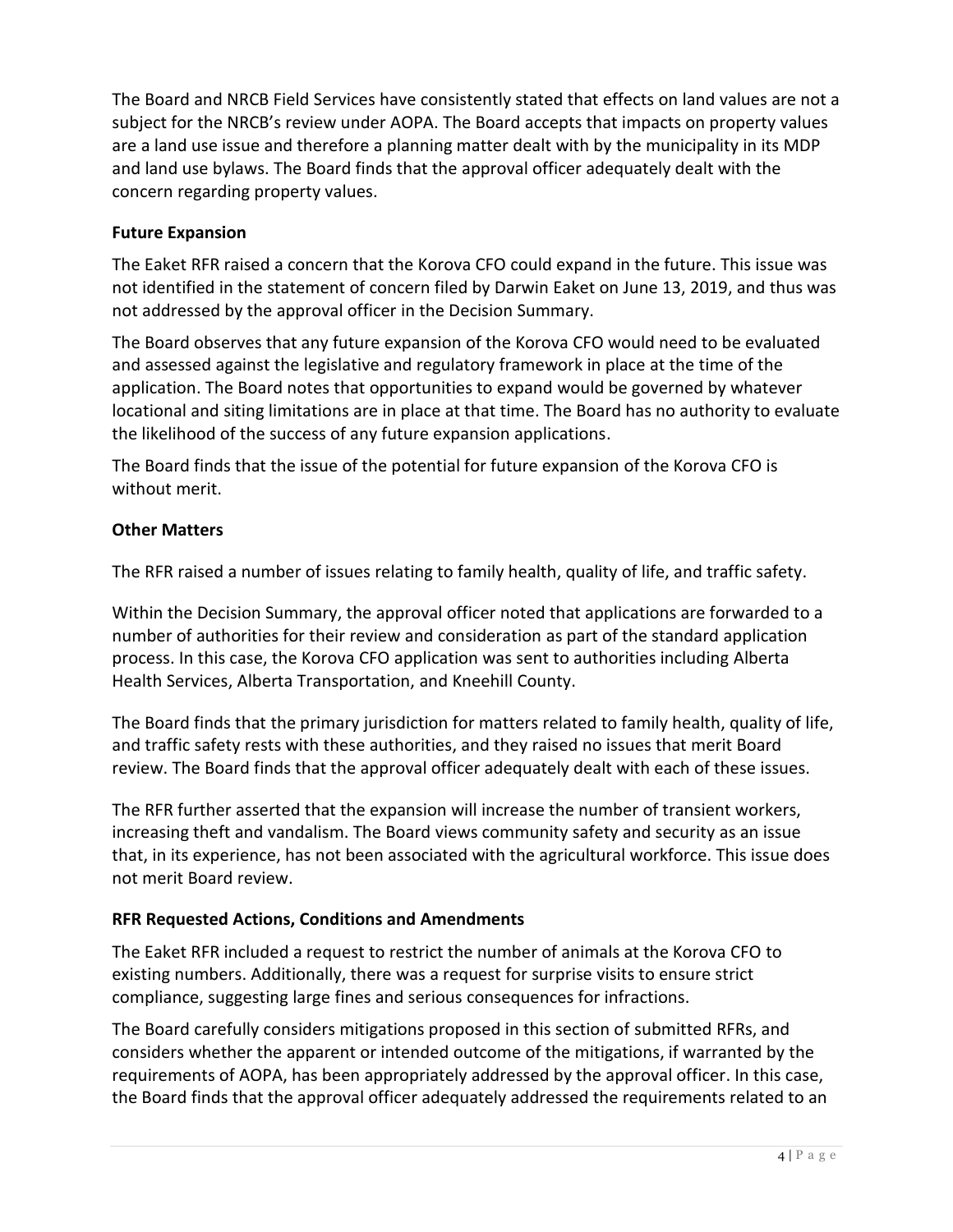The Board and NRCB Field Services have consistently stated that effects on land values are not a subject for the NRCB's review under AOPA. The Board accepts that impacts on property values are a land use issue and therefore a planning matter dealt with by the municipality in its MDP and land use bylaws. The Board finds that the approval officer adequately dealt with the concern regarding property values.

### **Future Expansion**

The Eaket RFR raised a concern that the Korova CFO could expand in the future. This issue was not identified in the statement of concern filed by Darwin Eaket on June 13, 2019, and thus was not addressed by the approval officer in the Decision Summary.

The Board observes that any future expansion of the Korova CFO would need to be evaluated and assessed against the legislative and regulatory framework in place at the time of the application. The Board notes that opportunities to expand would be governed by whatever locational and siting limitations are in place at that time. The Board has no authority to evaluate the likelihood of the success of any future expansion applications.

The Board finds that the issue of the potential for future expansion of the Korova CFO is without merit.

### **Other Matters**

The RFR raised a number of issues relating to family health, quality of life, and traffic safety.

Within the Decision Summary, the approval officer noted that applications are forwarded to a number of authorities for their review and consideration as part of the standard application process. In this case, the Korova CFO application was sent to authorities including Alberta Health Services, Alberta Transportation, and Kneehill County.

The Board finds that the primary jurisdiction for matters related to family health, quality of life, and traffic safety rests with these authorities, and they raised no issues that merit Board review. The Board finds that the approval officer adequately dealt with each of these issues.

The RFR further asserted that the expansion will increase the number of transient workers, increasing theft and vandalism. The Board views community safety and security as an issue that, in its experience, has not been associated with the agricultural workforce. This issue does not merit Board review.

### **RFR Requested Actions, Conditions and Amendments**

The Eaket RFR included a request to restrict the number of animals at the Korova CFO to existing numbers. Additionally, there was a request for surprise visits to ensure strict compliance, suggesting large fines and serious consequences for infractions.

The Board carefully considers mitigations proposed in this section of submitted RFRs, and considers whether the apparent or intended outcome of the mitigations, if warranted by the requirements of AOPA, has been appropriately addressed by the approval officer. In this case, the Board finds that the approval officer adequately addressed the requirements related to an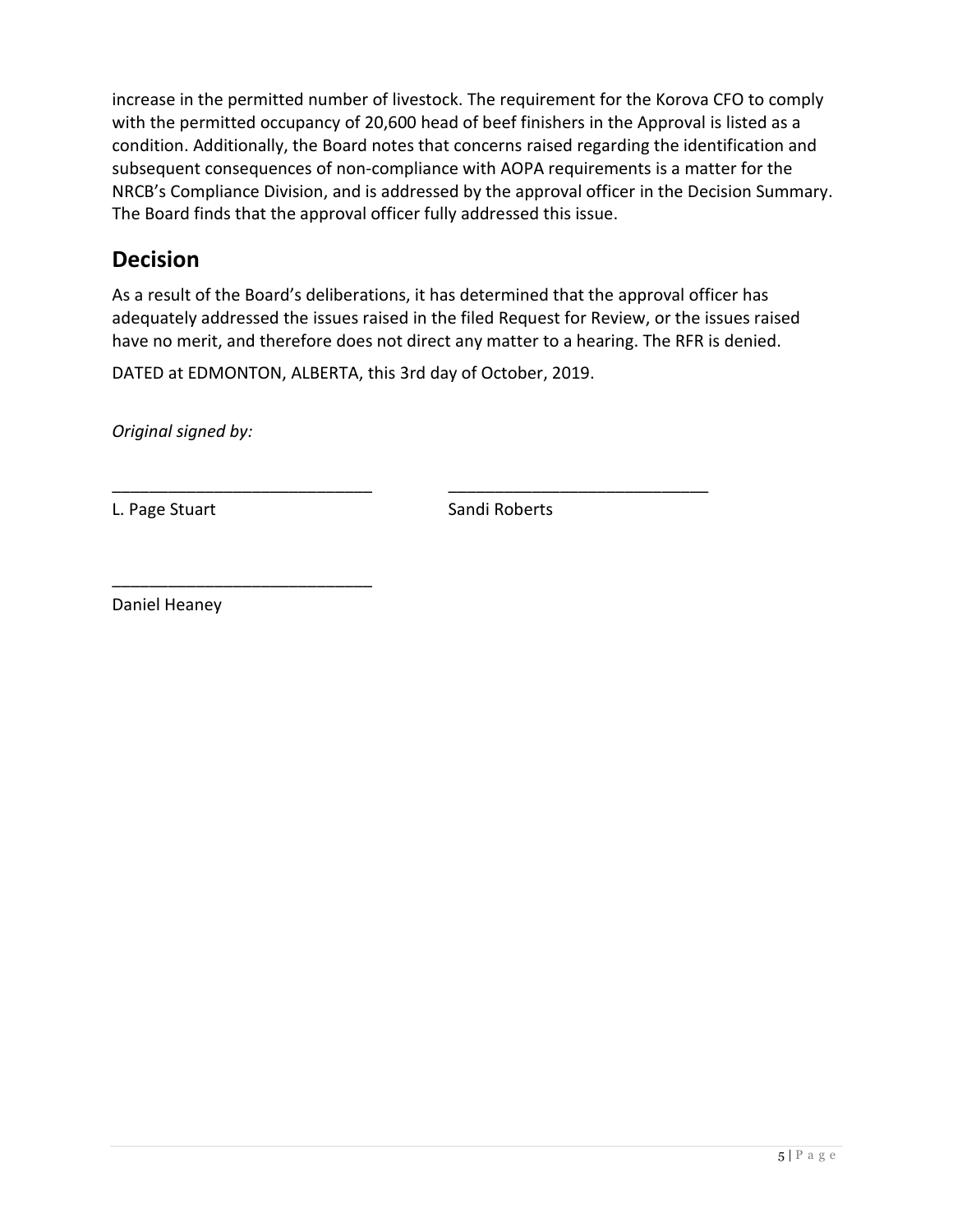increase in the permitted number of livestock. The requirement for the Korova CFO to comply with the permitted occupancy of 20,600 head of beef finishers in the Approval is listed as a condition. Additionally, the Board notes that concerns raised regarding the identification and subsequent consequences of non-compliance with AOPA requirements is a matter for the NRCB's Compliance Division, and is addressed by the approval officer in the Decision Summary. The Board finds that the approval officer fully addressed this issue.

## **Decision**

As a result of the Board's deliberations, it has determined that the approval officer has adequately addressed the issues raised in the filed Request for Review, or the issues raised have no merit, and therefore does not direct any matter to a hearing. The RFR is denied.

DATED at EDMONTON, ALBERTA, this 3rd day of October, 2019.

\_\_\_\_\_\_\_\_\_\_\_\_\_\_\_\_\_\_\_\_\_\_\_\_\_\_\_\_ \_\_\_\_\_\_\_\_\_\_\_\_\_\_\_\_\_\_\_\_\_\_\_\_\_\_\_\_

*Original signed by:*

L. Page Stuart Sandi Roberts

Daniel Heaney

\_\_\_\_\_\_\_\_\_\_\_\_\_\_\_\_\_\_\_\_\_\_\_\_\_\_\_\_